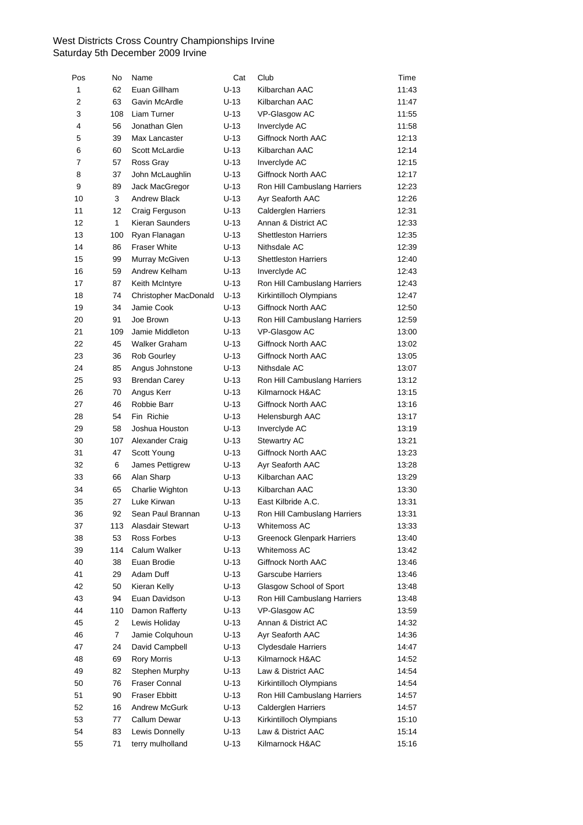| Pos                     | No             | Name                  | Cat    | Club                              | Time  |
|-------------------------|----------------|-----------------------|--------|-----------------------------------|-------|
| $\mathbf{1}$            | 62             | Euan Gillham          | $U-13$ | Kilbarchan AAC                    | 11:43 |
| 2                       | 63             | Gavin McArdle         | $U-13$ | Kilbarchan AAC                    | 11:47 |
| 3                       | 108            | Liam Turner           | U-13   | VP-Glasgow AC                     | 11:55 |
| $\overline{\mathbf{4}}$ | 56             | Jonathan Glen         | U-13   | Inverclyde AC                     | 11:58 |
| 5                       | 39             | Max Lancaster         | U-13   | Giffnock North AAC                | 12:13 |
| 6                       | 60             | Scott McLardie        | $U-13$ | Kilbarchan AAC                    | 12:14 |
| 7                       | 57             | Ross Gray             | $U-13$ | Inverclyde AC                     | 12:15 |
| 8                       | 37             | John McLaughlin       | $U-13$ | <b>Giffnock North AAC</b>         | 12:17 |
| 9                       | 89             | Jack MacGregor        | U-13   | Ron Hill Cambuslang Harriers      | 12:23 |
| 10                      | 3              | <b>Andrew Black</b>   | $U-13$ | Ayr Seaforth AAC                  | 12:26 |
| 11                      | 12             | Craig Ferguson        | $U-13$ | Calderglen Harriers               | 12:31 |
| 12                      | $\mathbf{1}$   | Kieran Saunders       | U-13   | Annan & District AC               | 12:33 |
| 13                      | 100            | Ryan Flanagan         | U-13   | <b>Shettleston Harriers</b>       | 12:35 |
| 14                      | 86             | <b>Fraser White</b>   | $U-13$ | Nithsdale AC                      | 12:39 |
| 15                      | 99             | Murray McGiven        | $U-13$ | <b>Shettleston Harriers</b>       | 12:40 |
| 16                      | 59             | Andrew Kelham         | U-13   | Inverclyde AC                     | 12:43 |
| 17                      | 87             | Keith McIntyre        | U-13   | Ron Hill Cambuslang Harriers      | 12:43 |
| 18                      | 74             | Christopher MacDonald | U-13   | Kirkintilloch Olympians           | 12:47 |
| 19                      | 34             | Jamie Cook            | U-13   | Giffnock North AAC                | 12:50 |
| 20                      | 91             | Joe Brown             | U-13   | Ron Hill Cambuslang Harriers      | 12:59 |
| 21                      | 109            | Jamie Middleton       | U-13   | VP-Glasgow AC                     | 13:00 |
| 22                      | 45             | Walker Graham         | U-13   | Giffnock North AAC                | 13:02 |
| 23                      | 36             | Rob Gourley           | U-13   | Giffnock North AAC                | 13:05 |
| 24                      | 85             | Angus Johnstone       | $U-13$ | Nithsdale AC                      | 13:07 |
| 25                      | 93             | <b>Brendan Carey</b>  | U-13   | Ron Hill Cambuslang Harriers      | 13:12 |
| 26                      | 70             | Angus Kerr            | U-13   | Kilmarnock H&AC                   | 13:15 |
| 27                      | 46             | Robbie Barr           | $U-13$ | Giffnock North AAC                | 13:16 |
| 28                      | 54             | Fin Richie            | $U-13$ |                                   | 13:17 |
| 29                      | 58             | Joshua Houston        | $U-13$ | Helensburgh AAC                   | 13:19 |
|                         |                |                       |        | Inverclyde AC                     |       |
| 30                      | 107            | Alexander Craig       | U-13   | <b>Stewartry AC</b>               | 13:21 |
| 31                      | 47             | Scott Young           | $U-13$ | Giffnock North AAC                | 13:23 |
| 32                      | 6              | James Pettigrew       | $U-13$ | Ayr Seaforth AAC                  | 13:28 |
| 33                      | 66             | Alan Sharp            | $U-13$ | Kilbarchan AAC                    | 13:29 |
| 34                      | 65             | Charlie Wighton       | U-13   | Kilbarchan AAC                    | 13:30 |
| 35                      | 27             | Luke Kirwan           | $U-13$ | East Kilbride A.C.                | 13:31 |
| 36                      | 92             | Sean Paul Brannan     | $U-13$ | Ron Hill Cambuslang Harriers      | 13:31 |
| 37                      | 113            | Alasdair Stewart      | U-13   | Whitemoss AC                      | 13:33 |
| 38                      | 53             | Ross Forbes           | $U-13$ | <b>Greenock Glenpark Harriers</b> | 13:40 |
| 39                      | 114            | Calum Walker          | $U-13$ | Whitemoss AC                      | 13:42 |
| 40                      | 38             | Euan Brodie           | $U-13$ | Giffnock North AAC                | 13:46 |
| 41                      | 29             | Adam Duff             | $U-13$ | <b>Garscube Harriers</b>          | 13:46 |
| 42                      | 50             | Kieran Kelly          | U-13   | Glasgow School of Sport           | 13:48 |
| 43                      | 94             | Euan Davidson         | $U-13$ | Ron Hill Cambuslang Harriers      | 13:48 |
| 44                      | 110            | Damon Rafferty        | $U-13$ | VP-Glasgow AC                     | 13:59 |
| 45                      | $\overline{2}$ | Lewis Holiday         | $U-13$ | Annan & District AC               | 14:32 |
| 46                      | $\overline{7}$ | Jamie Colquhoun       | U-13   | Ayr Seaforth AAC                  | 14:36 |
| 47                      | 24             | David Campbell        | $U-13$ | Clydesdale Harriers               | 14:47 |
| 48                      | 69             | Rory Morris           | $U-13$ | Kilmarnock H&AC                   | 14:52 |
| 49                      | 82             | Stephen Murphy        | $U-13$ | Law & District AAC                | 14:54 |
| 50                      | 76             | Fraser Connal         | $U-13$ | Kirkintilloch Olympians           | 14:54 |
| 51                      | 90             | <b>Fraser Ebbitt</b>  | $U-13$ | Ron Hill Cambuslang Harriers      | 14:57 |
| 52                      | 16             | Andrew McGurk         | $U-13$ | <b>Calderglen Harriers</b>        | 14:57 |
| 53                      | 77             | Callum Dewar          | $U-13$ | Kirkintilloch Olympians           | 15:10 |
| 54                      | 83             | Lewis Donnelly        | $U-13$ | Law & District AAC                | 15:14 |
| 55                      | 71             | terry mulholland      | $U-13$ | Kilmarnock H&AC                   | 15:16 |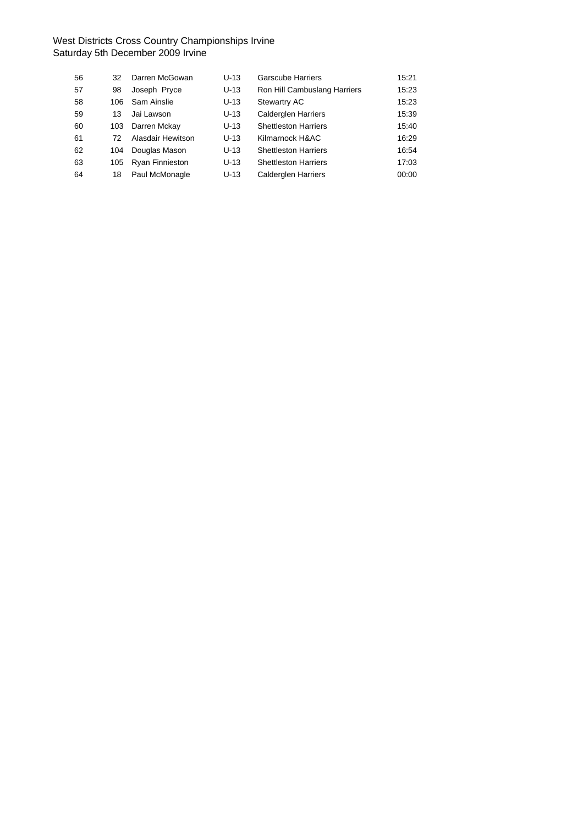| 56 | 32  | Darren McGowan         | $U-13$ | Garscube Harriers            | 15:21 |
|----|-----|------------------------|--------|------------------------------|-------|
| 57 | 98  | Joseph Pryce           | $U-13$ | Ron Hill Cambuslang Harriers | 15:23 |
| 58 | 106 | Sam Ainslie            | $U-13$ | <b>Stewartry AC</b>          | 15:23 |
| 59 | 13  | Jai Lawson             | $U-13$ | <b>Calderglen Harriers</b>   | 15:39 |
| 60 | 103 | Darren Mckay           | $U-13$ | <b>Shettleston Harriers</b>  | 15:40 |
| 61 | 72. | Alasdair Hewitson      | $U-13$ | Kilmarnock H&AC              | 16:29 |
| 62 | 104 | Douglas Mason          | $U-13$ | <b>Shettleston Harriers</b>  | 16:54 |
| 63 | 105 | <b>Ryan Finnieston</b> | $U-13$ | <b>Shettleston Harriers</b>  | 17:03 |
| 64 | 18  | Paul McMonagle         | $U-13$ | <b>Calderglen Harriers</b>   | 00:00 |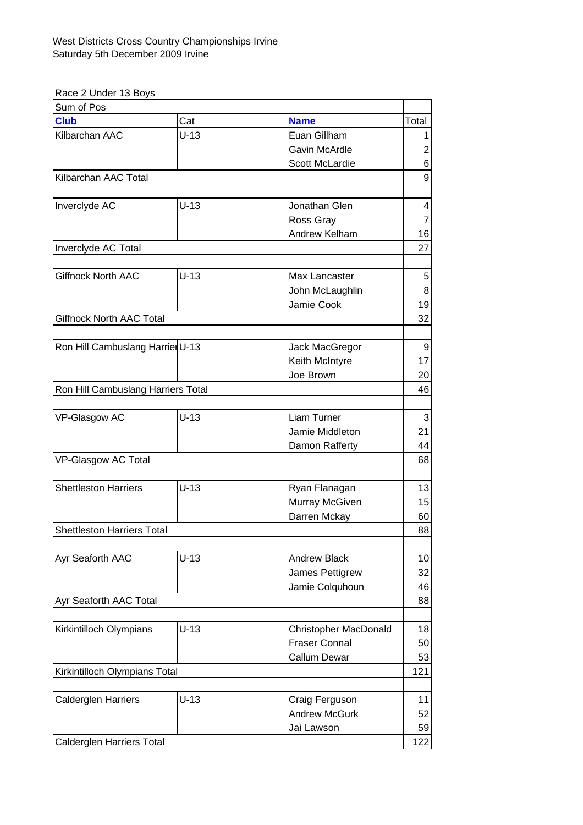Race 2 Under 13 Boys

| Sum of Pos                         |        |                              |                         |  |
|------------------------------------|--------|------------------------------|-------------------------|--|
| <b>Club</b>                        | Cat    | <b>Name</b>                  | Total                   |  |
| Kilbarchan AAC                     | $U-13$ | Euan Gillham                 | 1                       |  |
|                                    |        | <b>Gavin McArdle</b>         | 2                       |  |
|                                    |        | <b>Scott McLardie</b>        | 6                       |  |
| Kilbarchan AAC Total               |        |                              | 9                       |  |
|                                    |        |                              |                         |  |
| Inverclyde AC                      | $U-13$ | Jonathan Glen                | $\overline{\mathbf{4}}$ |  |
|                                    |        | Ross Gray                    | 7                       |  |
|                                    |        | Andrew Kelham                | 16                      |  |
| Inverclyde AC Total                |        |                              | 27                      |  |
|                                    |        |                              |                         |  |
| <b>Giffnock North AAC</b>          | $U-13$ | Max Lancaster                | 5                       |  |
|                                    |        | John McLaughlin              | 8                       |  |
|                                    |        | Jamie Cook                   | 19                      |  |
| Giffnock North AAC Total           |        |                              | 32                      |  |
|                                    |        |                              |                         |  |
| Ron Hill Cambuslang Harrier U-13   |        | Jack MacGregor               | 9                       |  |
|                                    |        | Keith McIntyre               | 17                      |  |
|                                    |        | Joe Brown                    | 20                      |  |
| Ron Hill Cambuslang Harriers Total |        |                              |                         |  |
|                                    |        |                              |                         |  |
| VP-Glasgow AC                      | $U-13$ | Liam Turner                  | 3                       |  |
|                                    |        | Jamie Middleton              | 21                      |  |
|                                    |        | Damon Rafferty               | 44                      |  |
| VP-Glasgow AC Total                |        |                              | 68                      |  |
|                                    |        |                              |                         |  |
| <b>Shettleston Harriers</b>        | $U-13$ | Ryan Flanagan                | 13                      |  |
|                                    |        | Murray McGiven               | 15                      |  |
|                                    |        | Darren Mckay                 | 60                      |  |
| <b>Shettleston Harriers Total</b>  |        |                              | 88                      |  |
|                                    |        |                              |                         |  |
| Ayr Seaforth AAC                   | $U-13$ | <b>Andrew Black</b>          | 10                      |  |
|                                    |        | James Pettigrew              | 32                      |  |
|                                    |        | Jamie Colquhoun              | 46                      |  |
| Ayr Seaforth AAC Total             |        |                              | 88                      |  |
|                                    |        |                              |                         |  |
| Kirkintilloch Olympians            | $U-13$ | <b>Christopher MacDonald</b> | 18                      |  |
|                                    |        | <b>Fraser Connal</b>         | 50                      |  |
|                                    |        | <b>Callum Dewar</b>          | 53                      |  |
| Kirkintilloch Olympians Total      |        |                              | 121                     |  |
|                                    |        |                              |                         |  |
| <b>Calderglen Harriers</b>         | $U-13$ | Craig Ferguson               | 11                      |  |
|                                    |        | <b>Andrew McGurk</b>         | 52                      |  |
|                                    |        | Jai Lawson                   | 59                      |  |
| Calderglen Harriers Total          |        |                              | 122                     |  |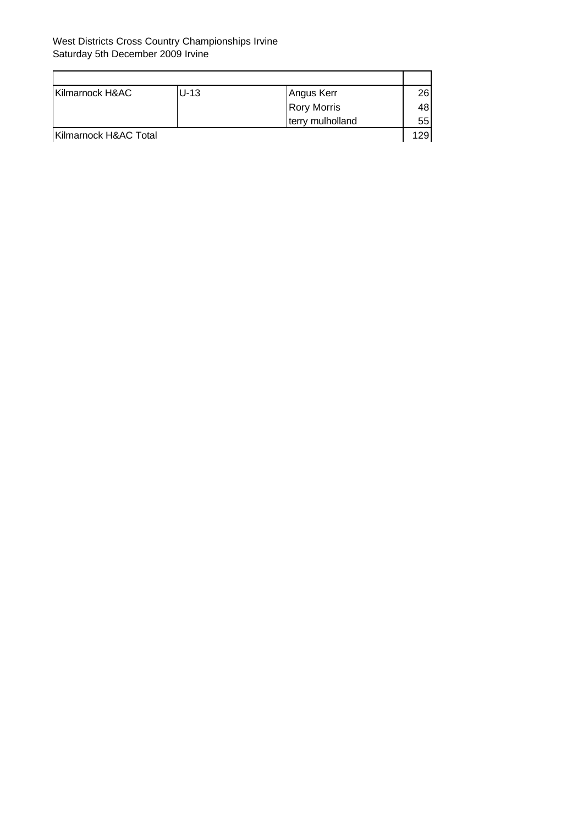| Kilmarnock H&AC       | U-13 | Angus Kerr         | 26 |  |
|-----------------------|------|--------------------|----|--|
|                       |      | <b>Rory Morris</b> | 48 |  |
|                       |      | terry mulholland   | 55 |  |
| Kilmarnock H&AC Total |      |                    |    |  |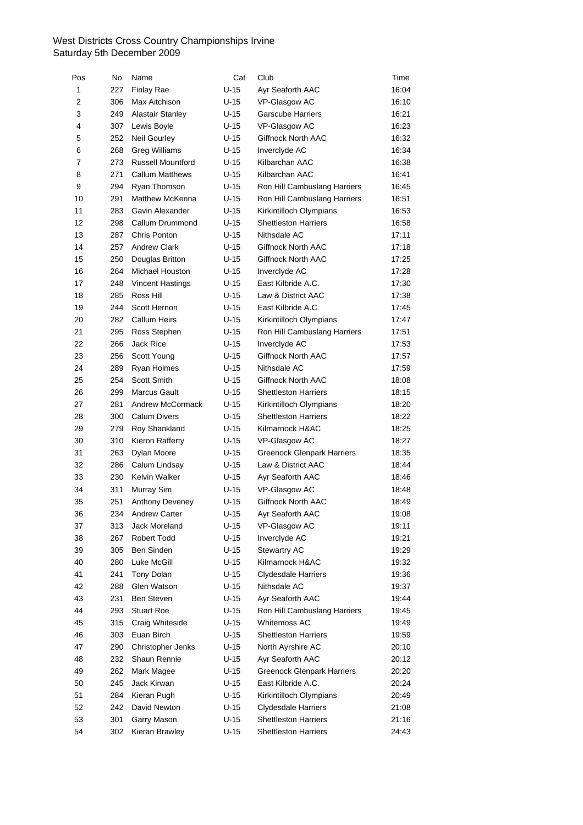| Pos          | No  | Name                          | Cat    | Club                              | Time  |
|--------------|-----|-------------------------------|--------|-----------------------------------|-------|
| $\mathbf{1}$ | 227 | <b>Finlay Rae</b>             | $U-15$ | Ayr Seaforth AAC                  | 16:04 |
| 2            | 306 | Max Aitchison                 | $U-15$ | VP-Glasgow AC                     | 16:10 |
| 3            | 249 | <b>Alastair Stanley</b>       | $U-15$ | <b>Garscube Harriers</b>          | 16:21 |
| 4            | 307 | Lewis Boyle                   | U-15   | VP-Glasgow AC                     | 16:23 |
| 5            | 252 | Neil Gourley                  | $U-15$ | Giffnock North AAC                | 16:32 |
| 6            | 268 | <b>Greg Williams</b>          | $U-15$ | Inverclyde AC                     | 16:34 |
| 7            | 273 | <b>Russell Mountford</b>      | $U-15$ | Kilbarchan AAC                    | 16:38 |
| 8            | 271 | <b>Callum Matthews</b>        | $U-15$ | Kilbarchan AAC                    | 16:41 |
| 9            | 294 | Ryan Thomson                  | $U-15$ | Ron Hill Cambuslang Harriers      | 16:45 |
| 10           | 291 | Matthew McKenna               | $U-15$ | Ron Hill Cambuslang Harriers      | 16:51 |
| 11           | 283 | Gavin Alexander               | $U-15$ | Kirkintilloch Olympians           | 16:53 |
| 12           | 298 | Callum Drummond               | $U-15$ | <b>Shettleston Harriers</b>       | 16:58 |
| 13           | 287 | Chris Ponton                  | $U-15$ | Nithsdale AC                      | 17:11 |
| 14           | 257 | <b>Andrew Clark</b>           | $U-15$ | Giffnock North AAC                | 17:18 |
| 15           | 250 | Douglas Britton               | $U-15$ | Giffnock North AAC                | 17:25 |
| 16           | 264 | Michael Houston               | U-15   | Inverclyde AC                     | 17:28 |
| 17           | 248 | Vincent Hastings              | $U-15$ | East Kilbride A.C.                | 17:30 |
| 18           | 285 | Ross Hill                     | $U-15$ | Law & District AAC                | 17:38 |
| 19           | 244 | Scott Hernon                  | $U-15$ | East Kilbride A.C.                | 17:45 |
| 20           | 282 | <b>Callum Heirs</b>           | $U-15$ | Kirkintilloch Olympians           | 17:47 |
| 21           | 295 | Ross Stephen                  | $U-15$ | Ron Hill Cambuslang Harriers      | 17:51 |
| 22           | 266 | <b>Jack Rice</b>              | $U-15$ | Inverclyde AC                     | 17:53 |
| 23           | 256 | Scott Young                   | $U-15$ | Giffnock North AAC                | 17:57 |
| 24           | 289 | Ryan Holmes                   | $U-15$ | Nithsdale AC                      | 17:59 |
| 25           | 254 | Scott Smith                   | $U-15$ | Giffnock North AAC                | 18:08 |
| 26           | 299 | Marcus Gault                  | $U-15$ | <b>Shettleston Harriers</b>       | 18:15 |
| 27           | 281 | Andrew McCormack              | $U-15$ | Kirkintilloch Olympians           | 18:20 |
| 28           | 300 | <b>Calum Divers</b>           | $U-15$ | <b>Shettleston Harriers</b>       | 18:22 |
| 29           | 279 | Roy Shankland                 | $U-15$ | Kilmarnock H&AC                   | 18:25 |
| 30           | 310 | Kieron Rafferty               | $U-15$ | VP-Glasgow AC                     | 18:27 |
| 31           | 263 | Dylan Moore                   | $U-15$ | <b>Greenock Glenpark Harriers</b> | 18:35 |
| 32           | 286 | Calum Lindsay                 | $U-15$ | Law & District AAC                | 18:44 |
| 33           | 230 | Kelvin Walker                 | U-15   | Ayr Seaforth AAC                  | 18:46 |
| 34           | 311 | Murray Sim                    | $U-15$ | VP-Glasgow AC                     | 18:48 |
| 35           | 251 | Anthony Deveney               | $U-15$ | Giffnock North AAC                | 18:49 |
| 36           |     | 234 Andrew Carter             | $U-15$ | Ayr Seaforth AAC                  | 19:08 |
| 37           | 313 | Jack Moreland                 | U-15   | VP-Glasgow AC                     | 19:11 |
| 38           | 267 | Robert Todd                   | $U-15$ | Inverclyde AC                     | 19:21 |
| 39           | 305 | Ben Sinden                    | $U-15$ | Stewartry AC                      | 19:29 |
| 40           | 280 | Luke McGill                   | $U-15$ | Kilmarnock H&AC                   | 19:32 |
| 41           | 241 | Tony Dolan                    | U-15   | <b>Clydesdale Harriers</b>        | 19:36 |
| 42           | 288 | Glen Watson                   | $U-15$ | Nithsdale AC                      | 19:37 |
| 43           | 231 | Ben Steven                    | $U-15$ | Ayr Seaforth AAC                  | 19:44 |
| 44           | 293 | <b>Stuart Roe</b>             | $U-15$ | Ron Hill Cambuslang Harriers      | 19:45 |
| 45           | 315 |                               | $U-15$ | Whitemoss AC                      | 19:49 |
| 46           | 303 | Craig Whiteside<br>Euan Birch | $U-15$ | <b>Shettleston Harriers</b>       |       |
|              |     |                               |        |                                   | 19:59 |
| 47           | 290 | Christopher Jenks             | $U-15$ | North Ayrshire AC                 | 20:10 |
| 48           | 232 | Shaun Rennie                  | $U-15$ | Ayr Seaforth AAC                  | 20:12 |
| 49           | 262 | Mark Magee                    | $U-15$ | <b>Greenock Glenpark Harriers</b> | 20:20 |
| 50           | 245 | Jack Kirwan                   | $U-15$ | East Kilbride A.C.                | 20:24 |
| 51           | 284 | Kieran Pugh                   | $U-15$ | Kirkintilloch Olympians           | 20:49 |
| 52           | 242 | David Newton                  | $U-15$ | <b>Clydesdale Harriers</b>        | 21:08 |
| 53           | 301 | Garry Mason                   | U-15   | <b>Shettleston Harriers</b>       | 21:16 |
| 54           | 302 | Kieran Brawley                | $U-15$ | Shettleston Harriers              | 24:43 |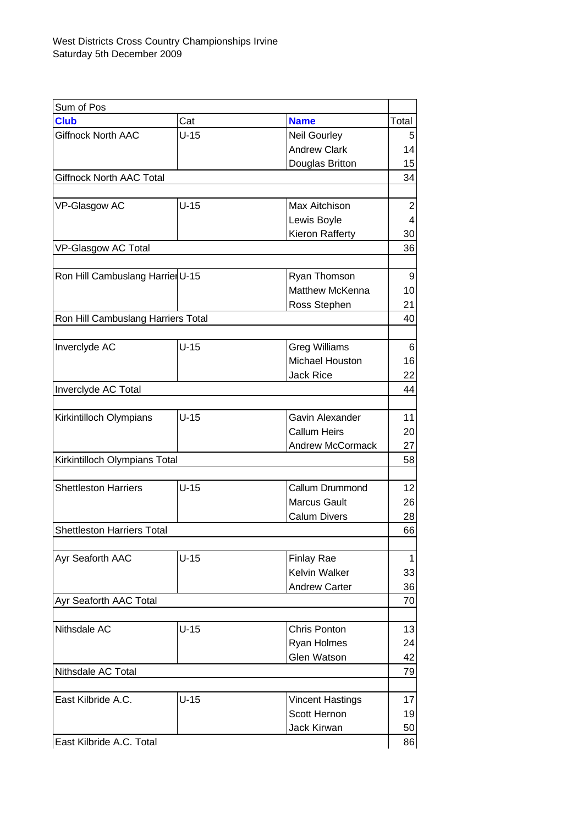| Sum of Pos                         |        |                         |                |
|------------------------------------|--------|-------------------------|----------------|
| <b>Club</b>                        | Cat    | <b>Name</b>             | Total          |
| Giffnock North AAC                 | $U-15$ | <b>Neil Gourley</b>     | 5              |
|                                    |        | <b>Andrew Clark</b>     | 14             |
|                                    |        | Douglas Britton         | 15             |
| <b>Giffnock North AAC Total</b>    |        |                         | 34             |
|                                    |        |                         |                |
| VP-Glasgow AC                      | $U-15$ | Max Aitchison           | 2              |
|                                    |        | Lewis Boyle             | $\overline{4}$ |
|                                    |        | Kieron Rafferty         | 30             |
| VP-Glasgow AC Total                |        |                         | 36             |
|                                    |        |                         |                |
| Ron Hill Cambuslang Harrier U-15   |        | Ryan Thomson            | 9              |
|                                    |        | Matthew McKenna         | 10             |
|                                    |        | Ross Stephen            | 21             |
| Ron Hill Cambuslang Harriers Total |        |                         | 40             |
|                                    |        |                         |                |
| Inverclyde AC                      | $U-15$ | <b>Greg Williams</b>    | 6              |
|                                    |        | Michael Houston         | 16             |
|                                    |        | <b>Jack Rice</b>        | 22             |
| Inverclyde AC Total                |        |                         | 44             |
|                                    |        |                         |                |
| Kirkintilloch Olympians            | $U-15$ | Gavin Alexander         | 11             |
|                                    |        | <b>Callum Heirs</b>     | 20             |
|                                    |        | <b>Andrew McCormack</b> | 27             |
| Kirkintilloch Olympians Total      |        |                         | 58             |
|                                    |        |                         |                |
| <b>Shettleston Harriers</b>        | $U-15$ | Callum Drummond         | 12             |
|                                    |        | <b>Marcus Gault</b>     | 26             |
|                                    |        | <b>Calum Divers</b>     | 28             |
| <b>Shettleston Harriers Total</b>  |        |                         | 66             |
|                                    |        |                         |                |
| Ayr Seaforth AAC                   | $U-15$ | <b>Finlay Rae</b>       | $\mathbf 1$    |
|                                    |        | <b>Kelvin Walker</b>    | 33             |
|                                    |        | <b>Andrew Carter</b>    | 36             |
| Ayr Seaforth AAC Total             |        |                         | 70             |
|                                    |        |                         |                |
| Nithsdale AC                       | $U-15$ | Chris Ponton            | 13             |
|                                    |        | Ryan Holmes             | 24             |
|                                    |        | Glen Watson             | 42             |
| Nithsdale AC Total                 |        |                         | 79             |
|                                    |        |                         |                |
| East Kilbride A.C.                 | $U-15$ | <b>Vincent Hastings</b> | 17             |
|                                    |        | Scott Hernon            | 19             |
|                                    |        | Jack Kirwan             | 50             |
| East Kilbride A.C. Total           |        |                         | 86             |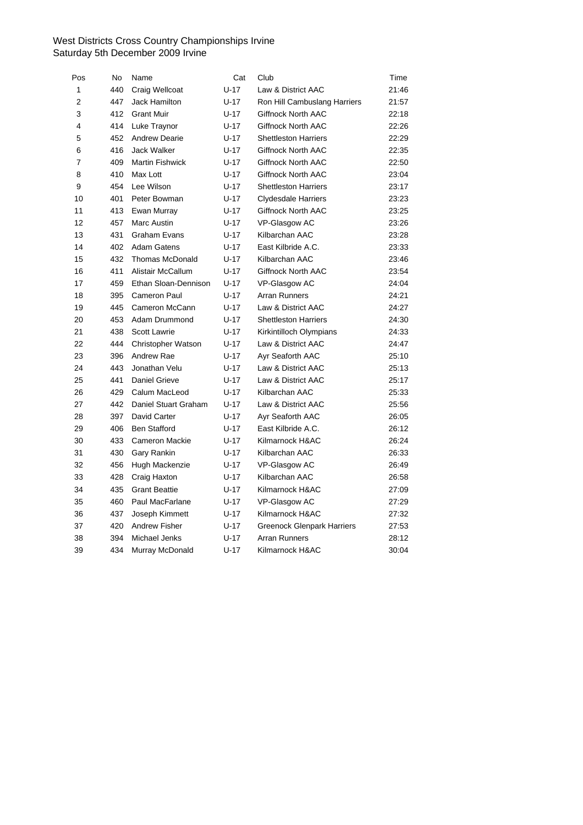| Pos            | No  | Name                   | Cat      | Club                              | Time  |
|----------------|-----|------------------------|----------|-----------------------------------|-------|
| $\mathbf{1}$   | 440 | Craig Wellcoat         | $U - 17$ | Law & District AAC                | 21:46 |
| $\overline{2}$ | 447 | Jack Hamilton          | $U-17$   | Ron Hill Cambuslang Harriers      | 21:57 |
| 3              | 412 | <b>Grant Muir</b>      | $U-17$   | Giffnock North AAC                | 22:18 |
| 4              | 414 | Luke Traynor           | $U-17$   | Giffnock North AAC                | 22:26 |
| 5              | 452 | <b>Andrew Dearie</b>   | $U-17$   | <b>Shettleston Harriers</b>       | 22:29 |
| 6              | 416 | Jack Walker            | $U-17$   | Giffnock North AAC                | 22:35 |
| $\overline{7}$ | 409 | <b>Martin Fishwick</b> | $U-17$   | Giffnock North AAC                | 22:50 |
| 8              | 410 | Max Lott               | $U-17$   | Giffnock North AAC                | 23:04 |
| 9              | 454 | Lee Wilson             | U-17     | <b>Shettleston Harriers</b>       | 23:17 |
| 10             | 401 | Peter Bowman           | $U-17$   | <b>Clydesdale Harriers</b>        | 23:23 |
| 11             | 413 | Ewan Murray            | $U-17$   | Giffnock North AAC                | 23:25 |
| 12             | 457 | Marc Austin            | $U-17$   | VP-Glasgow AC                     | 23:26 |
| 13             | 431 | <b>Graham Evans</b>    | $U-17$   | Kilbarchan AAC                    | 23:28 |
| 14             | 402 | <b>Adam Gatens</b>     | $U-17$   | East Kilbride A.C.                | 23:33 |
| 15             | 432 | <b>Thomas McDonald</b> | $U - 17$ | Kilbarchan AAC                    | 23:46 |
| 16             | 411 | Alistair McCallum      | $U - 17$ | Giffnock North AAC                | 23:54 |
| 17             | 459 | Ethan Sloan-Dennison   | $U-17$   | VP-Glasgow AC                     | 24:04 |
| 18             | 395 | <b>Cameron Paul</b>    | $U-17$   | <b>Arran Runners</b>              | 24:21 |
| 19             | 445 | Cameron McCann         | $U-17$   | Law & District AAC                | 24:27 |
| 20             | 453 | Adam Drummond          | $U-17$   | <b>Shettleston Harriers</b>       | 24:30 |
| 21             | 438 | <b>Scott Lawrie</b>    | $U-17$   | Kirkintilloch Olympians           | 24:33 |
| 22             | 444 | Christopher Watson     | $U - 17$ | Law & District AAC                | 24:47 |
| 23             | 396 | Andrew Rae             | U-17     | Ayr Seaforth AAC                  | 25:10 |
| 24             | 443 | Jonathan Velu          | $U-17$   | Law & District AAC                | 25:13 |
| 25             | 441 | <b>Daniel Grieve</b>   | $U - 17$ | Law & District AAC                | 25:17 |
| 26             | 429 | Calum MacLeod          | $U-17$   | Kilbarchan AAC                    | 25:33 |
| 27             | 442 | Daniel Stuart Graham   | $U-17$   | Law & District AAC                | 25:56 |
| 28             | 397 | David Carter           | $U-17$   | Ayr Seaforth AAC                  | 26:05 |
| 29             | 406 | <b>Ben Stafford</b>    | $U-17$   | East Kilbride A.C.                | 26:12 |
| 30             | 433 | <b>Cameron Mackie</b>  | U-17     | Kilmarnock H&AC                   | 26:24 |
| 31             | 430 | Gary Rankin            | $U-17$   | Kilbarchan AAC                    | 26:33 |
| 32             | 456 | Hugh Mackenzie         | $U-17$   | VP-Glasgow AC                     | 26:49 |
| 33             | 428 | Craig Haxton           | $U-17$   | Kilbarchan AAC                    | 26:58 |
| 34             | 435 | <b>Grant Beattie</b>   | $U-17$   | Kilmarnock H&AC                   | 27:09 |
| 35             | 460 | Paul MacFarlane        | U-17     | VP-Glasgow AC                     | 27:29 |
| 36             | 437 | Joseph Kimmett         | U-17     | Kilmarnock H&AC                   | 27:32 |
| 37             | 420 | Andrew Fisher          | $U-17$   | <b>Greenock Glenpark Harriers</b> | 27:53 |
| 38             | 394 | Michael Jenks          | $U-17$   | <b>Arran Runners</b>              | 28:12 |
| 39             | 434 | Murray McDonald        | $U-17$   | Kilmarnock H&AC                   | 30:04 |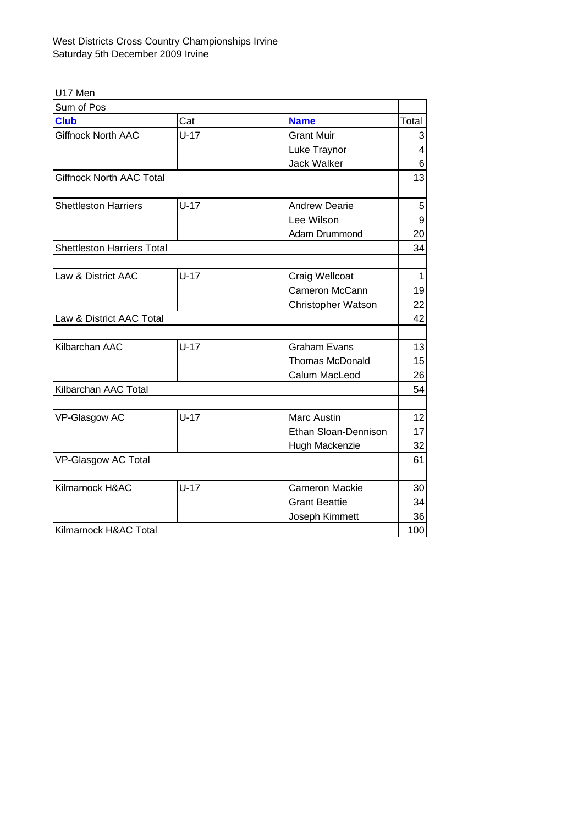U17 Men

| Sum of Pos                        |        |                        |       |  |
|-----------------------------------|--------|------------------------|-------|--|
| <b>Club</b>                       | Cat    | <b>Name</b>            | Total |  |
| Giffnock North AAC                | $U-17$ | <b>Grant Muir</b>      | 3     |  |
|                                   |        | Luke Traynor           | 4     |  |
|                                   |        | <b>Jack Walker</b>     | 6     |  |
| <b>Giffnock North AAC Total</b>   |        |                        | 13    |  |
|                                   |        |                        |       |  |
| <b>Shettleston Harriers</b>       | $U-17$ | <b>Andrew Dearie</b>   | 5     |  |
|                                   |        | Lee Wilson             | 9     |  |
|                                   |        | Adam Drummond          | 20    |  |
| <b>Shettleston Harriers Total</b> |        |                        | 34    |  |
|                                   |        |                        |       |  |
| Law & District AAC                | $U-17$ | Craig Wellcoat         | 1     |  |
|                                   |        | Cameron McCann         | 19    |  |
|                                   |        | Christopher Watson     | 22    |  |
| Law & District AAC Total          |        |                        |       |  |
|                                   |        |                        |       |  |
| Kilbarchan AAC                    | $U-17$ | <b>Graham Evans</b>    | 13    |  |
|                                   |        | <b>Thomas McDonald</b> | 15    |  |
|                                   |        | Calum MacLeod          | 26    |  |
| Kilbarchan AAC Total              |        |                        | 54    |  |
|                                   |        |                        |       |  |
| VP-Glasgow AC                     | $U-17$ | <b>Marc Austin</b>     | 12    |  |
|                                   |        | Ethan Sloan-Dennison   | 17    |  |
|                                   |        | Hugh Mackenzie         | 32    |  |
| <b>VP-Glasgow AC Total</b>        |        |                        | 61    |  |
|                                   |        |                        |       |  |
| Kilmarnock H&AC                   | $U-17$ | <b>Cameron Mackie</b>  | 30    |  |
|                                   |        | <b>Grant Beattie</b>   | 34    |  |
|                                   |        | Joseph Kimmett         | 36    |  |
| Kilmarnock H&AC Total             |        |                        | 100   |  |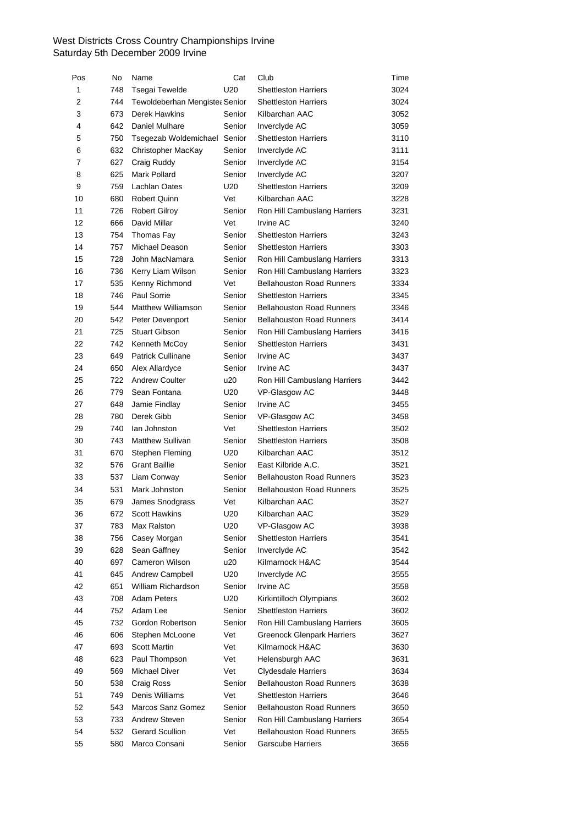| Pos          | No  | Name                           | Cat    | Club                              | Time |
|--------------|-----|--------------------------------|--------|-----------------------------------|------|
| $\mathbf{1}$ | 748 | <b>Tsegai Tewelde</b>          | U20    | <b>Shettleston Harriers</b>       | 3024 |
| 2            | 744 | Tewoldeberhan Mengiste: Senior |        | <b>Shettleston Harriers</b>       | 3024 |
| 3            | 673 | Derek Hawkins                  | Senior | Kilbarchan AAC                    | 3052 |
| 4            | 642 | Daniel Mulhare                 | Senior | Inverclyde AC                     | 3059 |
| 5            | 750 | Tsegezab Woldemichael Senior   |        | <b>Shettleston Harriers</b>       | 3110 |
| 6            | 632 | Christopher MacKay             | Senior | Inverclyde AC                     | 3111 |
| 7            | 627 | Craig Ruddy                    | Senior | Inverclyde AC                     | 3154 |
| 8            | 625 | Mark Pollard                   | Senior | Inverclyde AC                     | 3207 |
| 9            | 759 | Lachlan Oates                  | U20    | <b>Shettleston Harriers</b>       | 3209 |
| 10           | 680 | <b>Robert Quinn</b>            | Vet    | Kilbarchan AAC                    | 3228 |
| 11           | 726 | <b>Robert Gilroy</b>           | Senior | Ron Hill Cambuslang Harriers      | 3231 |
| 12           | 666 | David Millar                   | Vet    | <b>Irvine AC</b>                  | 3240 |
| 13           | 754 | Thomas Fay                     | Senior | <b>Shettleston Harriers</b>       | 3243 |
| 14           | 757 | Michael Deason                 | Senior | <b>Shettleston Harriers</b>       | 3303 |
| 15           | 728 | John MacNamara                 | Senior | Ron Hill Cambuslang Harriers      | 3313 |
| 16           | 736 | Kerry Liam Wilson              | Senior | Ron Hill Cambuslang Harriers      | 3323 |
| 17           | 535 | Kenny Richmond                 | Vet    | <b>Bellahouston Road Runners</b>  | 3334 |
| 18           | 746 | Paul Sorrie                    | Senior | <b>Shettleston Harriers</b>       | 3345 |
| 19           | 544 | <b>Matthew Williamson</b>      | Senior | <b>Bellahouston Road Runners</b>  | 3346 |
| 20           | 542 | Peter Devenport                | Senior | <b>Bellahouston Road Runners</b>  | 3414 |
| 21           | 725 | <b>Stuart Gibson</b>           | Senior | Ron Hill Cambuslang Harriers      | 3416 |
| 22           | 742 | Kenneth McCoy                  | Senior | <b>Shettleston Harriers</b>       | 3431 |
| 23           | 649 | <b>Patrick Cullinane</b>       | Senior | Irvine AC                         | 3437 |
| 24           | 650 | Alex Allardyce                 | Senior | <b>Irvine AC</b>                  | 3437 |
| 25           | 722 | <b>Andrew Coulter</b>          | u20    | Ron Hill Cambuslang Harriers      | 3442 |
| 26           | 779 | Sean Fontana                   | U20    | VP-Glasgow AC                     | 3448 |
| 27           | 648 | Jamie Findlay                  | Senior | Irvine AC                         | 3455 |
| 28           | 780 | Derek Gibb                     | Senior | VP-Glasgow AC                     | 3458 |
| 29           | 740 | lan Johnston                   | Vet    | <b>Shettleston Harriers</b>       | 3502 |
| 30           | 743 | <b>Matthew Sullivan</b>        | Senior | <b>Shettleston Harriers</b>       | 3508 |
| 31           | 670 | Stephen Fleming                | U20    | Kilbarchan AAC                    | 3512 |
| 32           | 576 | <b>Grant Baillie</b>           | Senior | East Kilbride A.C.                | 3521 |
| 33           | 537 | Liam Conway                    | Senior | <b>Bellahouston Road Runners</b>  | 3523 |
| 34           | 531 | Mark Johnston                  | Senior | <b>Bellahouston Road Runners</b>  | 3525 |
| 35           | 679 | James Snodgrass                | Vet    | Kilbarchan AAC                    | 3527 |
| 36           | 672 | Scott Hawkins                  | U20    | Kilbarchan AAC                    | 3529 |
| 37           | 783 | Max Ralston                    | U20    | VP-Glasgow AC                     | 3938 |
| 38           | 756 | Casey Morgan                   | Senior | <b>Shettleston Harriers</b>       | 3541 |
| 39           | 628 | Sean Gaffney                   | Senior | Inverclyde AC                     | 3542 |
| 40           | 697 | Cameron Wilson                 | u20    | Kilmarnock H&AC                   | 3544 |
| 41           | 645 | Andrew Campbell                | U20    | Inverclyde AC                     | 3555 |
| 42           | 651 | William Richardson             | Senior | <b>Irvine AC</b>                  | 3558 |
| 43           | 708 | <b>Adam Peters</b>             | U20    | Kirkintilloch Olympians           | 3602 |
| 44           | 752 | Adam Lee                       | Senior | <b>Shettleston Harriers</b>       | 3602 |
| 45           | 732 | Gordon Robertson               | Senior | Ron Hill Cambuslang Harriers      | 3605 |
| 46           | 606 | Stephen McLoone                | Vet    | <b>Greenock Glenpark Harriers</b> | 3627 |
| 47           | 693 | <b>Scott Martin</b>            | Vet    | Kilmarnock H&AC                   | 3630 |
| 48           | 623 | Paul Thompson                  | Vet    | Helensburgh AAC                   | 3631 |
| 49           | 569 | Michael Diver                  | Vet    | <b>Clydesdale Harriers</b>        | 3634 |
| 50           | 538 | Craig Ross                     | Senior | <b>Bellahouston Road Runners</b>  | 3638 |
| 51           | 749 | Denis Williams                 | Vet    | <b>Shettleston Harriers</b>       | 3646 |
| 52           | 543 | Marcos Sanz Gomez              | Senior | <b>Bellahouston Road Runners</b>  | 3650 |
| 53           | 733 | <b>Andrew Steven</b>           | Senior | Ron Hill Cambuslang Harriers      | 3654 |
| 54           | 532 | <b>Gerard Scullion</b>         | Vet    | <b>Bellahouston Road Runners</b>  | 3655 |
| 55           | 580 | Marco Consani                  | Senior | Garscube Harriers                 | 3656 |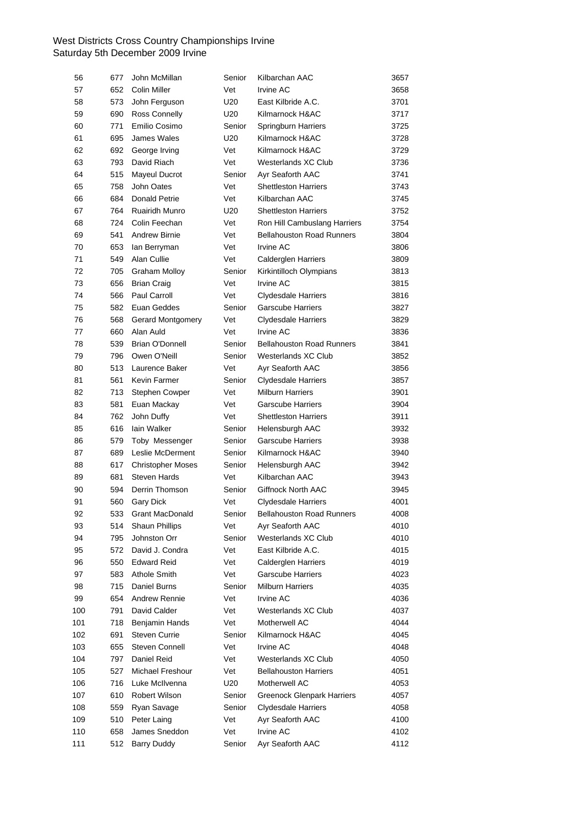| 56  | 677 | John McMillan            | Senior          | Kilbarchan AAC                    | 3657 |
|-----|-----|--------------------------|-----------------|-----------------------------------|------|
| 57  | 652 | <b>Colin Miller</b>      | Vet             | <b>Irvine AC</b>                  | 3658 |
| 58  | 573 | John Ferguson            | U20             | East Kilbride A.C.                | 3701 |
| 59  | 690 | Ross Connelly            | U20             | Kilmarnock H&AC                   | 3717 |
| 60  | 771 | Emilio Cosimo            | Senior          | Springburn Harriers               | 3725 |
| 61  | 695 | James Wales              | U20             | Kilmarnock H&AC                   | 3728 |
| 62  | 692 | George Irving            | Vet             | Kilmarnock H&AC                   | 3729 |
| 63  | 793 | David Riach              | Vet             | Westerlands XC Club               | 3736 |
| 64  | 515 | Mayeul Ducrot            | Senior          | Ayr Seaforth AAC                  | 3741 |
| 65  | 758 | John Oates               | Vet             | <b>Shettleston Harriers</b>       | 3743 |
| 66  | 684 | Donald Petrie            | Vet             | Kilbarchan AAC                    | 3745 |
| 67  | 764 | Ruairidh Munro           | U <sub>20</sub> | <b>Shettleston Harriers</b>       | 3752 |
| 68  | 724 | Colin Feechan            | Vet             | Ron Hill Cambuslang Harriers      | 3754 |
| 69  | 541 | Andrew Birnie            | Vet             | <b>Bellahouston Road Runners</b>  | 3804 |
| 70  | 653 | lan Berryman             | Vet             | Irvine AC                         | 3806 |
| 71  | 549 | Alan Cullie              | Vet             | Calderglen Harriers               | 3809 |
| 72  | 705 | <b>Graham Molloy</b>     | Senior          | Kirkintilloch Olympians           | 3813 |
| 73  | 656 | <b>Brian Craig</b>       | Vet             | Irvine AC                         | 3815 |
| 74  | 566 | <b>Paul Carroll</b>      | Vet             | <b>Clydesdale Harriers</b>        | 3816 |
| 75  | 582 | Euan Geddes              | Senior          | <b>Garscube Harriers</b>          | 3827 |
| 76  | 568 | Gerard Montgomery        | Vet             | Clydesdale Harriers               | 3829 |
| 77  | 660 | Alan Auld                | Vet             | Irvine AC                         | 3836 |
| 78  | 539 | <b>Brian O'Donnell</b>   | Senior          | <b>Bellahouston Road Runners</b>  | 3841 |
| 79  | 796 | Owen O'Neill             | Senior          | Westerlands XC Club               | 3852 |
| 80  | 513 | Laurence Baker           | Vet             | Ayr Seaforth AAC                  | 3856 |
| 81  | 561 | Kevin Farmer             | Senior          | Clydesdale Harriers               | 3857 |
| 82  | 713 | Stephen Cowper           | Vet             | <b>Milburn Harriers</b>           | 3901 |
| 83  | 581 | Euan Mackay              | Vet             | <b>Garscube Harriers</b>          | 3904 |
| 84  | 762 | John Duffy               | Vet             | <b>Shettleston Harriers</b>       | 3911 |
| 85  | 616 | lain Walker              | Senior          | Helensburgh AAC                   | 3932 |
| 86  | 579 | Toby Messenger           | Senior          | <b>Garscube Harriers</b>          | 3938 |
| 87  | 689 | Leslie McDerment         | Senior          | Kilmarnock H&AC                   | 3940 |
| 88  | 617 | <b>Christopher Moses</b> | Senior          | Helensburgh AAC                   | 3942 |
| 89  | 681 | <b>Steven Hards</b>      | Vet             | Kilbarchan AAC                    | 3943 |
| 90  | 594 | Derrin Thomson           | Senior          | Giffnock North AAC                | 3945 |
| 91  | 560 | <b>Gary Dick</b>         | Vet             | <b>Clydesdale Harriers</b>        | 4001 |
| 92  |     | 533 Grant MacDonald      | Senior          | <b>Bellahouston Road Runners</b>  | 4008 |
| 93  | 514 | Shaun Phillips           | Vet             | Ayr Seaforth AAC                  | 4010 |
| 94  | 795 | Johnston Orr             | Senior          | Westerlands XC Club               | 4010 |
| 95  | 572 | David J. Condra          | Vet             | East Kilbride A.C.                | 4015 |
| 96  | 550 | <b>Edward Reid</b>       | Vet             | Calderglen Harriers               | 4019 |
| 97  | 583 | <b>Athole Smith</b>      | Vet             | Garscube Harriers                 | 4023 |
| 98  | 715 | Daniel Burns             | Senior          | <b>Milburn Harriers</b>           | 4035 |
| 99  | 654 | Andrew Rennie            | Vet             | Irvine AC                         | 4036 |
| 100 | 791 | David Calder             | Vet             | Westerlands XC Club               | 4037 |
| 101 | 718 | Benjamin Hands           | Vet             | Motherwell AC                     | 4044 |
| 102 | 691 | <b>Steven Currie</b>     | Senior          | Kilmarnock H&AC                   | 4045 |
| 103 | 655 | Steven Connell           | Vet             | Irvine AC                         | 4048 |
| 104 | 797 | Daniel Reid              | Vet             | Westerlands XC Club               | 4050 |
| 105 | 527 | Michael Freshour         | Vet             | <b>Bellahouston Harriers</b>      | 4051 |
| 106 | 716 | Luke McIlvenna           | U20             | Motherwell AC                     | 4053 |
| 107 | 610 | Robert Wilson            | Senior          | <b>Greenock Glenpark Harriers</b> | 4057 |
| 108 | 559 | Ryan Savage              | Senior          | <b>Clydesdale Harriers</b>        | 4058 |
| 109 | 510 | Peter Laing              | Vet             | Ayr Seaforth AAC                  | 4100 |
| 110 | 658 | James Sneddon            | Vet             | Irvine AC                         | 4102 |
| 111 | 512 | <b>Barry Duddy</b>       | Senior          | Ayr Seaforth AAC                  | 4112 |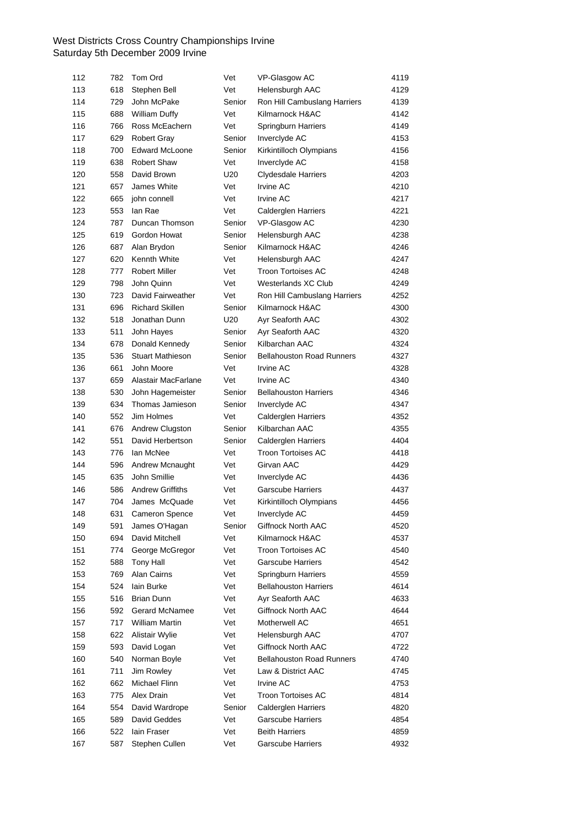| 112 | 782 | Tom Ord                 | Vet    | VP-Glasgow AC                    | 4119 |
|-----|-----|-------------------------|--------|----------------------------------|------|
| 113 | 618 | Stephen Bell            | Vet    | Helensburgh AAC                  | 4129 |
| 114 | 729 | John McPake             | Senior | Ron Hill Cambuslang Harriers     | 4139 |
| 115 | 688 | <b>William Duffy</b>    | Vet    | Kilmarnock H&AC                  | 4142 |
| 116 | 766 | Ross McEachern          | Vet    | Springburn Harriers              | 4149 |
| 117 | 629 | <b>Robert Gray</b>      | Senior | Inverclyde AC                    | 4153 |
| 118 | 700 | <b>Edward McLoone</b>   | Senior | Kirkintilloch Olympians          | 4156 |
| 119 | 638 | <b>Robert Shaw</b>      | Vet    | Inverclyde AC                    | 4158 |
| 120 | 558 | David Brown             | U20    | Clydesdale Harriers              | 4203 |
| 121 | 657 | James White             | Vet    | Irvine AC                        | 4210 |
| 122 | 665 | iohn connell            | Vet    | Irvine AC                        | 4217 |
| 123 | 553 | lan Rae                 | Vet    | <b>Calderglen Harriers</b>       | 4221 |
| 124 | 787 | Duncan Thomson          | Senior | VP-Glasgow AC                    | 4230 |
| 125 | 619 | Gordon Howat            | Senior | Helensburgh AAC                  | 4238 |
| 126 | 687 | Alan Brydon             | Senior | Kilmarnock H&AC                  | 4246 |
| 127 | 620 | Kennth White            | Vet    | Helensburgh AAC                  | 4247 |
| 128 | 777 | <b>Robert Miller</b>    | Vet    | <b>Troon Tortoises AC</b>        | 4248 |
| 129 | 798 | John Quinn              | Vet    | Westerlands XC Club              | 4249 |
| 130 | 723 | David Fairweather       | Vet    | Ron Hill Cambuslang Harriers     | 4252 |
| 131 | 696 | <b>Richard Skillen</b>  | Senior | Kilmarnock H&AC                  | 4300 |
| 132 | 518 | Jonathan Dunn           | U20    | Ayr Seaforth AAC                 | 4302 |
| 133 | 511 | John Hayes              | Senior | Ayr Seaforth AAC                 | 4320 |
| 134 | 678 | Donald Kennedy          | Senior | Kilbarchan AAC                   | 4324 |
| 135 | 536 | <b>Stuart Mathieson</b> | Senior | <b>Bellahouston Road Runners</b> | 4327 |
| 136 | 661 | John Moore              | Vet    | Irvine AC                        | 4328 |
| 137 | 659 | Alastair MacFarlane     | Vet    | Irvine AC                        | 4340 |
| 138 | 530 | John Hagemeister        | Senior | <b>Bellahouston Harriers</b>     | 4346 |
| 139 | 634 | Thomas Jamieson         | Senior | Inverclyde AC                    | 4347 |
| 140 | 552 | Jim Holmes              | Vet    | <b>Calderglen Harriers</b>       | 4352 |
| 141 | 676 | Andrew Clugston         | Senior | Kilbarchan AAC                   | 4355 |
| 142 | 551 | David Herbertson        | Senior | <b>Calderglen Harriers</b>       | 4404 |
| 143 | 776 | lan McNee               | Vet    | <b>Troon Tortoises AC</b>        | 4418 |
| 144 | 596 | Andrew Mcnaught         | Vet    | Girvan AAC                       | 4429 |
| 145 | 635 | John Smillie            | Vet    | Inverclyde AC                    | 4436 |
| 146 | 586 | <b>Andrew Griffiths</b> | Vet    | <b>Garscube Harriers</b>         | 4437 |
| 147 | 704 | James McQuade           | Vet    | Kirkintilloch Olympians          | 4456 |
| 148 |     | 631 Cameron Spence      | Vet    | Inverclyde AC                    | 4459 |
| 149 | 591 | James O'Hagan           | Senior | Giffnock North AAC               | 4520 |
| 150 | 694 | David Mitchell          | Vet    | Kilmarnock H&AC                  | 4537 |
| 151 | 774 | George McGregor         | Vet    | <b>Troon Tortoises AC</b>        | 4540 |
| 152 | 588 | Tony Hall               | Vet    | <b>Garscube Harriers</b>         | 4542 |
| 153 | 769 | Alan Cairns             | Vet    | Springburn Harriers              | 4559 |
| 154 | 524 | lain Burke              | Vet    | <b>Bellahouston Harriers</b>     | 4614 |
| 155 | 516 | Brian Dunn              | Vet    | Ayr Seaforth AAC                 | 4633 |
| 156 | 592 | <b>Gerard McNamee</b>   | Vet    | Giffnock North AAC               | 4644 |
| 157 | 717 | William Martin          | Vet    | Motherwell AC                    | 4651 |
| 158 | 622 | Alistair Wylie          | Vet    | Helensburgh AAC                  | 4707 |
| 159 | 593 | David Logan             | Vet    | Giffnock North AAC               | 4722 |
| 160 | 540 | Norman Boyle            | Vet    | <b>Bellahouston Road Runners</b> | 4740 |
| 161 | 711 | Jim Rowley              | Vet    | Law & District AAC               | 4745 |
| 162 | 662 | Michael Flinn           | Vet    | Irvine AC                        | 4753 |
| 163 | 775 | Alex Drain              | Vet    | <b>Troon Tortoises AC</b>        | 4814 |
| 164 | 554 | David Wardrope          | Senior | <b>Calderglen Harriers</b>       | 4820 |
| 165 | 589 | David Geddes            | Vet    | <b>Garscube Harriers</b>         | 4854 |
| 166 | 522 | lain Fraser             | Vet    | <b>Beith Harriers</b>            | 4859 |
| 167 | 587 | Stephen Cullen          | Vet    | Garscube Harriers                | 4932 |
|     |     |                         |        |                                  |      |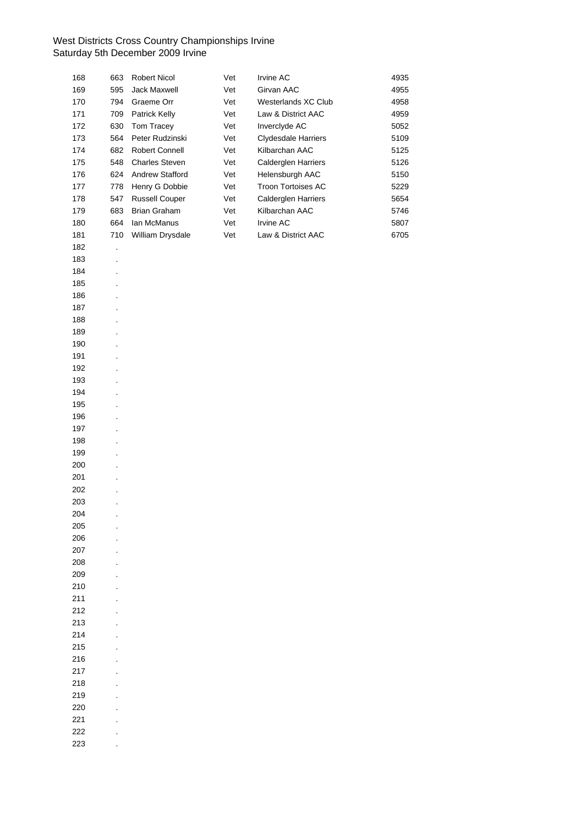| 168 | 663     | Robert Nicol          | Vet | Irvine AC                  | 4935 |
|-----|---------|-----------------------|-----|----------------------------|------|
| 169 | 595     | Jack Maxwell          | Vet | Girvan AAC                 | 4955 |
| 170 | 794     | Graeme Orr            | Vet | Westerlands XC Club        | 4958 |
| 171 | 709     | Patrick Kelly         | Vet | Law & District AAC         | 4959 |
| 172 | 630     | Tom Tracey            | Vet | Inverclyde AC              | 5052 |
| 173 | 564     | Peter Rudzinski       | Vet | <b>Clydesdale Harriers</b> | 5109 |
| 174 | 682     | Robert Connell        | Vet | Kilbarchan AAC             | 5125 |
| 175 | 548     | <b>Charles Steven</b> | Vet | Calderglen Harriers        | 5126 |
| 176 | 624     | Andrew Stafford       | Vet | Helensburgh AAC            | 5150 |
| 177 | 778     | Henry G Dobbie        | Vet | Troon Tortoises AC         | 5229 |
| 178 | 547     | <b>Russell Couper</b> | Vet | Calderglen Harriers        | 5654 |
| 179 | 683     | <b>Brian Graham</b>   | Vet | Kilbarchan AAC             | 5746 |
| 180 | 664     | Ian McManus           | Vet | Irvine AC                  | 5807 |
| 181 | 710     | William Drysdale      | Vet | Law & District AAC         | 6705 |
| 182 | $\cdot$ |                       |     |                            |      |
| 183 |         |                       |     |                            |      |
| 184 |         |                       |     |                            |      |
| 185 |         |                       |     |                            |      |
| 186 |         |                       |     |                            |      |
| 187 |         |                       |     |                            |      |
| 188 |         |                       |     |                            |      |
| 189 |         |                       |     |                            |      |
| 190 |         |                       |     |                            |      |
| 191 |         |                       |     |                            |      |
| 192 |         |                       |     |                            |      |
| 193 |         |                       |     |                            |      |
| 194 |         |                       |     |                            |      |
| 195 |         |                       |     |                            |      |
| 196 |         |                       |     |                            |      |
| 197 |         |                       |     |                            |      |
| 198 |         |                       |     |                            |      |
| 199 |         |                       |     |                            |      |
| 200 |         |                       |     |                            |      |
| 201 |         |                       |     |                            |      |
| 202 |         |                       |     |                            |      |
| 203 |         |                       |     |                            |      |
| 204 |         |                       |     |                            |      |
| 205 |         |                       |     |                            |      |
| 206 |         |                       |     |                            |      |
| 207 |         |                       |     |                            |      |
| 208 |         |                       |     |                            |      |
| 209 |         |                       |     |                            |      |
| 210 |         |                       |     |                            |      |
| 211 |         |                       |     |                            |      |
| 212 |         |                       |     |                            |      |
| 213 |         |                       |     |                            |      |
| 214 |         |                       |     |                            |      |
| 215 |         |                       |     |                            |      |
| 216 |         |                       |     |                            |      |
| 217 |         |                       |     |                            |      |
| 218 |         |                       |     |                            |      |
| 219 |         |                       |     |                            |      |
| 220 |         |                       |     |                            |      |
| 221 |         |                       |     |                            |      |
| 222 |         |                       |     |                            |      |
| 223 |         |                       |     |                            |      |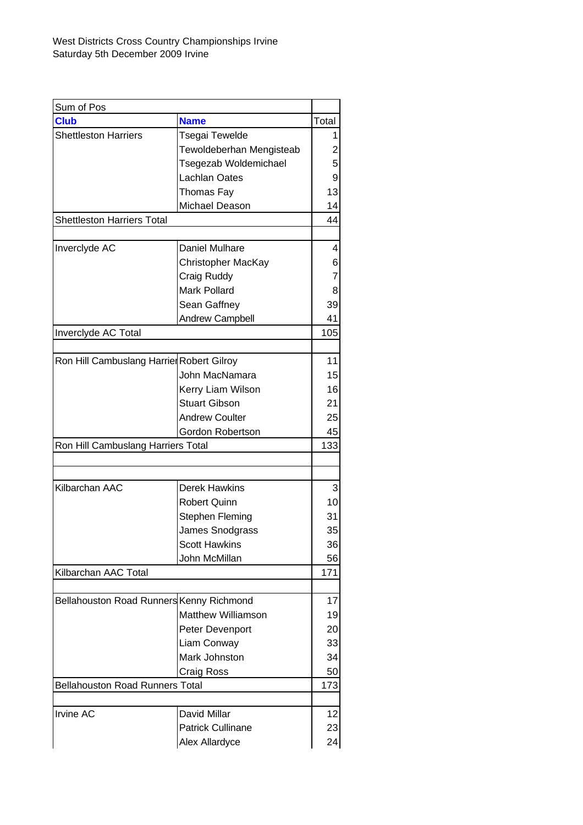| <b>Club</b><br><b>Name</b><br><b>Shettleston Harriers</b><br>Tsegai Tewelde<br>Tewoldeberhan Mengisteab<br>Tsegezab Woldemichael<br><b>Lachlan Oates</b><br>Thomas Fay<br>Michael Deason<br><b>Shettleston Harriers Total</b><br>Daniel Mulhare<br>Inverclyde AC<br>Christopher MacKay<br>Craig Ruddy<br><b>Mark Pollard</b><br>Sean Gaffney<br><b>Andrew Campbell</b><br>Inverclyde AC Total<br>Ron Hill Cambuslang Harrier Robert Gilroy<br>John MacNamara<br>Kerry Liam Wilson<br><b>Stuart Gibson</b><br><b>Andrew Coulter</b><br>Gordon Robertson<br>Ron Hill Cambuslang Harriers Total<br>Kilbarchan AAC<br><b>Derek Hawkins</b><br><b>Robert Quinn</b><br>Stephen Fleming<br>James Snodgrass<br><b>Scott Hawkins</b><br>John McMillan<br>Kilbarchan AAC Total<br>Bellahouston Road Runners Kenny Richmond<br><b>Matthew Williamson</b><br>Peter Devenport<br>Liam Conway<br>Mark Johnston | Sum of Pos |  |       |
|--------------------------------------------------------------------------------------------------------------------------------------------------------------------------------------------------------------------------------------------------------------------------------------------------------------------------------------------------------------------------------------------------------------------------------------------------------------------------------------------------------------------------------------------------------------------------------------------------------------------------------------------------------------------------------------------------------------------------------------------------------------------------------------------------------------------------------------------------------------------------------------------------|------------|--|-------|
|                                                                                                                                                                                                                                                                                                                                                                                                                                                                                                                                                                                                                                                                                                                                                                                                                                                                                                  |            |  | Total |
|                                                                                                                                                                                                                                                                                                                                                                                                                                                                                                                                                                                                                                                                                                                                                                                                                                                                                                  |            |  | 1     |
|                                                                                                                                                                                                                                                                                                                                                                                                                                                                                                                                                                                                                                                                                                                                                                                                                                                                                                  |            |  | 2     |
|                                                                                                                                                                                                                                                                                                                                                                                                                                                                                                                                                                                                                                                                                                                                                                                                                                                                                                  |            |  | 5     |
|                                                                                                                                                                                                                                                                                                                                                                                                                                                                                                                                                                                                                                                                                                                                                                                                                                                                                                  |            |  | 9     |
|                                                                                                                                                                                                                                                                                                                                                                                                                                                                                                                                                                                                                                                                                                                                                                                                                                                                                                  |            |  | 13    |
|                                                                                                                                                                                                                                                                                                                                                                                                                                                                                                                                                                                                                                                                                                                                                                                                                                                                                                  |            |  | 14    |
|                                                                                                                                                                                                                                                                                                                                                                                                                                                                                                                                                                                                                                                                                                                                                                                                                                                                                                  |            |  | 44    |
|                                                                                                                                                                                                                                                                                                                                                                                                                                                                                                                                                                                                                                                                                                                                                                                                                                                                                                  |            |  |       |
|                                                                                                                                                                                                                                                                                                                                                                                                                                                                                                                                                                                                                                                                                                                                                                                                                                                                                                  |            |  | 4     |
|                                                                                                                                                                                                                                                                                                                                                                                                                                                                                                                                                                                                                                                                                                                                                                                                                                                                                                  |            |  | 6     |
|                                                                                                                                                                                                                                                                                                                                                                                                                                                                                                                                                                                                                                                                                                                                                                                                                                                                                                  |            |  | 7     |
|                                                                                                                                                                                                                                                                                                                                                                                                                                                                                                                                                                                                                                                                                                                                                                                                                                                                                                  |            |  | 8     |
|                                                                                                                                                                                                                                                                                                                                                                                                                                                                                                                                                                                                                                                                                                                                                                                                                                                                                                  |            |  | 39    |
|                                                                                                                                                                                                                                                                                                                                                                                                                                                                                                                                                                                                                                                                                                                                                                                                                                                                                                  |            |  | 41    |
|                                                                                                                                                                                                                                                                                                                                                                                                                                                                                                                                                                                                                                                                                                                                                                                                                                                                                                  |            |  | 105   |
|                                                                                                                                                                                                                                                                                                                                                                                                                                                                                                                                                                                                                                                                                                                                                                                                                                                                                                  |            |  |       |
|                                                                                                                                                                                                                                                                                                                                                                                                                                                                                                                                                                                                                                                                                                                                                                                                                                                                                                  |            |  | 11    |
|                                                                                                                                                                                                                                                                                                                                                                                                                                                                                                                                                                                                                                                                                                                                                                                                                                                                                                  |            |  | 15    |
|                                                                                                                                                                                                                                                                                                                                                                                                                                                                                                                                                                                                                                                                                                                                                                                                                                                                                                  |            |  | 16    |
|                                                                                                                                                                                                                                                                                                                                                                                                                                                                                                                                                                                                                                                                                                                                                                                                                                                                                                  |            |  | 21    |
|                                                                                                                                                                                                                                                                                                                                                                                                                                                                                                                                                                                                                                                                                                                                                                                                                                                                                                  |            |  | 25    |
|                                                                                                                                                                                                                                                                                                                                                                                                                                                                                                                                                                                                                                                                                                                                                                                                                                                                                                  |            |  | 45    |
|                                                                                                                                                                                                                                                                                                                                                                                                                                                                                                                                                                                                                                                                                                                                                                                                                                                                                                  |            |  | 133   |
|                                                                                                                                                                                                                                                                                                                                                                                                                                                                                                                                                                                                                                                                                                                                                                                                                                                                                                  |            |  |       |
|                                                                                                                                                                                                                                                                                                                                                                                                                                                                                                                                                                                                                                                                                                                                                                                                                                                                                                  |            |  |       |
|                                                                                                                                                                                                                                                                                                                                                                                                                                                                                                                                                                                                                                                                                                                                                                                                                                                                                                  |            |  | 3     |
|                                                                                                                                                                                                                                                                                                                                                                                                                                                                                                                                                                                                                                                                                                                                                                                                                                                                                                  |            |  | 10    |
|                                                                                                                                                                                                                                                                                                                                                                                                                                                                                                                                                                                                                                                                                                                                                                                                                                                                                                  |            |  | 31    |
|                                                                                                                                                                                                                                                                                                                                                                                                                                                                                                                                                                                                                                                                                                                                                                                                                                                                                                  |            |  | 35    |
|                                                                                                                                                                                                                                                                                                                                                                                                                                                                                                                                                                                                                                                                                                                                                                                                                                                                                                  |            |  | 36    |
|                                                                                                                                                                                                                                                                                                                                                                                                                                                                                                                                                                                                                                                                                                                                                                                                                                                                                                  |            |  | 56    |
|                                                                                                                                                                                                                                                                                                                                                                                                                                                                                                                                                                                                                                                                                                                                                                                                                                                                                                  |            |  | 171   |
|                                                                                                                                                                                                                                                                                                                                                                                                                                                                                                                                                                                                                                                                                                                                                                                                                                                                                                  |            |  |       |
|                                                                                                                                                                                                                                                                                                                                                                                                                                                                                                                                                                                                                                                                                                                                                                                                                                                                                                  |            |  | 17    |
|                                                                                                                                                                                                                                                                                                                                                                                                                                                                                                                                                                                                                                                                                                                                                                                                                                                                                                  |            |  | 19    |
|                                                                                                                                                                                                                                                                                                                                                                                                                                                                                                                                                                                                                                                                                                                                                                                                                                                                                                  |            |  | 20    |
|                                                                                                                                                                                                                                                                                                                                                                                                                                                                                                                                                                                                                                                                                                                                                                                                                                                                                                  |            |  | 33    |
|                                                                                                                                                                                                                                                                                                                                                                                                                                                                                                                                                                                                                                                                                                                                                                                                                                                                                                  |            |  | 34    |
| Craig Ross                                                                                                                                                                                                                                                                                                                                                                                                                                                                                                                                                                                                                                                                                                                                                                                                                                                                                       |            |  | 50    |
| <b>Bellahouston Road Runners Total</b>                                                                                                                                                                                                                                                                                                                                                                                                                                                                                                                                                                                                                                                                                                                                                                                                                                                           |            |  | 173   |
|                                                                                                                                                                                                                                                                                                                                                                                                                                                                                                                                                                                                                                                                                                                                                                                                                                                                                                  |            |  |       |
| <b>Irvine AC</b><br>David Millar                                                                                                                                                                                                                                                                                                                                                                                                                                                                                                                                                                                                                                                                                                                                                                                                                                                                 |            |  | 12    |
| <b>Patrick Cullinane</b>                                                                                                                                                                                                                                                                                                                                                                                                                                                                                                                                                                                                                                                                                                                                                                                                                                                                         |            |  | 23    |
| Alex Allardyce                                                                                                                                                                                                                                                                                                                                                                                                                                                                                                                                                                                                                                                                                                                                                                                                                                                                                   |            |  | 24    |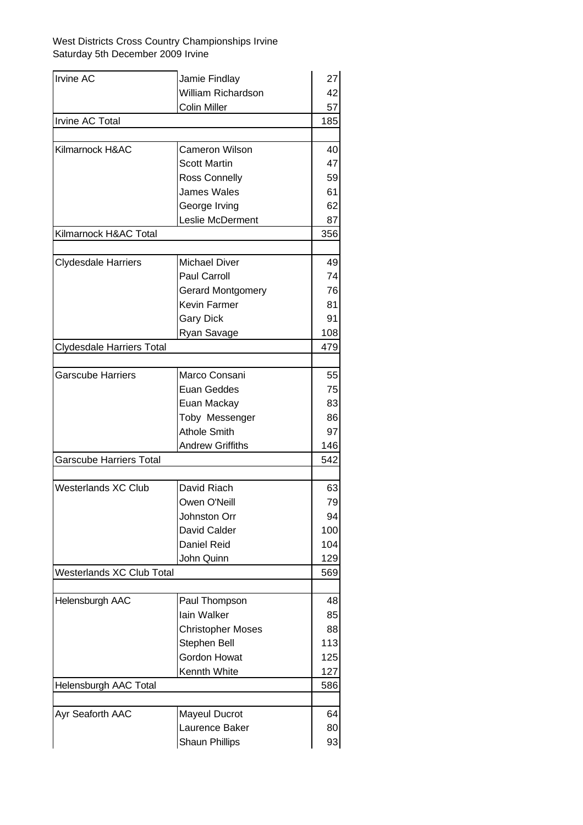| <b>Irvine AC</b>                 | Jamie Findlay            | 27  |
|----------------------------------|--------------------------|-----|
|                                  | William Richardson       | 42  |
|                                  | <b>Colin Miller</b>      | 57  |
| Irvine AC Total                  |                          |     |
|                                  |                          |     |
| Kilmarnock H&AC                  | <b>Cameron Wilson</b>    | 40  |
|                                  | <b>Scott Martin</b>      | 47  |
|                                  | Ross Connelly            | 59  |
|                                  | <b>James Wales</b>       | 61  |
|                                  | George Irving            | 62  |
|                                  | Leslie McDerment         | 87  |
| Kilmarnock H&AC Total            |                          | 356 |
|                                  |                          |     |
| <b>Clydesdale Harriers</b>       | <b>Michael Diver</b>     | 49  |
|                                  | Paul Carroll             | 74  |
|                                  | <b>Gerard Montgomery</b> | 76  |
|                                  | Kevin Farmer             | 81  |
|                                  | <b>Gary Dick</b>         | 91  |
|                                  | Ryan Savage              | 108 |
| <b>Clydesdale Harriers Total</b> |                          |     |
|                                  |                          |     |
| <b>Garscube Harriers</b>         | Marco Consani            | 55  |
|                                  | Euan Geddes              | 75  |
|                                  | Euan Mackay              | 83  |
|                                  | Toby Messenger           | 86  |
|                                  | <b>Athole Smith</b>      | 97  |
|                                  | <b>Andrew Griffiths</b>  | 146 |
| <b>Garscube Harriers Total</b>   |                          | 542 |
| <b>Westerlands XC Club</b>       | David Riach              | 63  |
|                                  | Owen O'Neill             | 79  |
|                                  | Johnston Orr             | 94  |
|                                  | David Calder             | 100 |
|                                  | <b>Daniel Reid</b>       | 104 |
|                                  | John Quinn               | 129 |
| Westerlands XC Club Total        |                          | 569 |
|                                  |                          |     |
| Helensburgh AAC                  | Paul Thompson            | 48  |
|                                  | lain Walker              | 85  |
|                                  | <b>Christopher Moses</b> | 88  |
|                                  | Stephen Bell             | 113 |
|                                  | Gordon Howat             | 125 |
|                                  | Kennth White             | 127 |
| Helensburgh AAC Total            |                          | 586 |
|                                  |                          |     |
| Ayr Seaforth AAC                 | <b>Mayeul Ducrot</b>     | 64  |
|                                  | Laurence Baker           | 80  |
|                                  | <b>Shaun Phillips</b>    | 93  |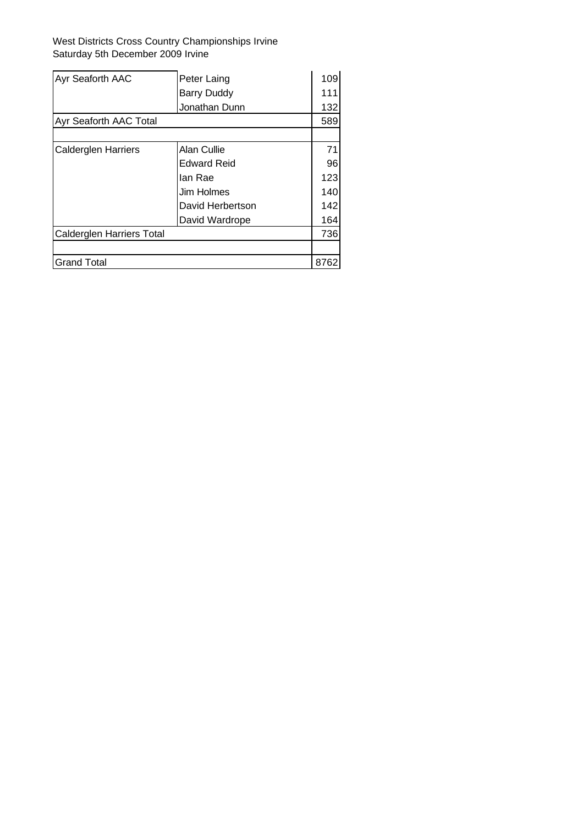| Ayr Seaforth AAC                 | Peter Laing        | 109  |
|----------------------------------|--------------------|------|
|                                  | <b>Barry Duddy</b> | 111  |
|                                  | Jonathan Dunn      | 132  |
| Ayr Seaforth AAC Total           |                    |      |
|                                  |                    |      |
| <b>Calderglen Harriers</b>       | Alan Cullie        | 71   |
|                                  | <b>Edward Reid</b> | 96   |
|                                  | lan Rae            | 123  |
|                                  | Jim Holmes         | 140  |
|                                  | David Herbertson   | 142  |
|                                  | David Wardrope     | 164  |
| <b>Calderglen Harriers Total</b> |                    | 736  |
|                                  |                    |      |
| <b>Grand Total</b>               |                    | 8762 |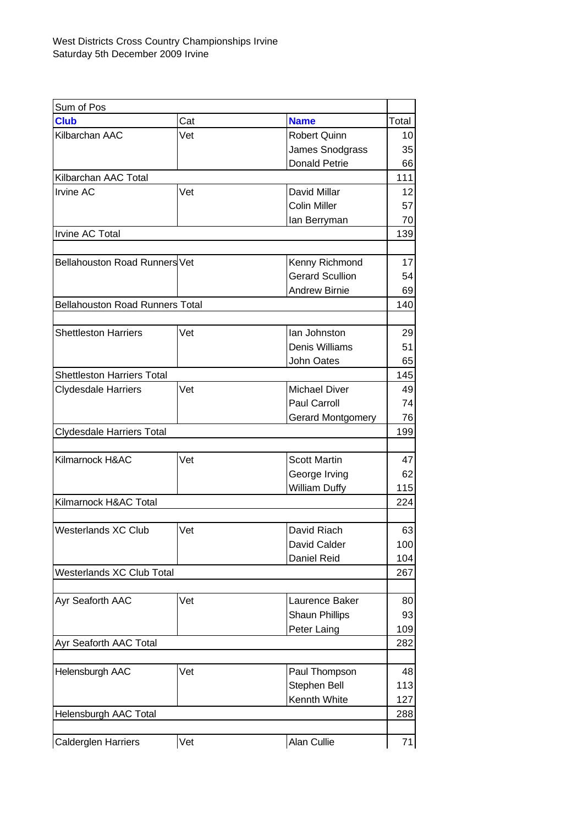| Sum of Pos                             |     |                        |       |
|----------------------------------------|-----|------------------------|-------|
| <b>Club</b>                            | Cat | <b>Name</b>            | Total |
| Kilbarchan AAC                         | Vet | <b>Robert Quinn</b>    | 10    |
|                                        |     | James Snodgrass        | 35    |
|                                        |     | <b>Donald Petrie</b>   | 66    |
| Kilbarchan AAC Total                   |     |                        | 111   |
| <b>Irvine AC</b>                       | Vet | David Millar           | 12    |
|                                        |     | <b>Colin Miller</b>    | 57    |
|                                        |     | lan Berryman           | 70    |
| Irvine AC Total                        |     |                        | 139   |
|                                        |     |                        |       |
| <b>Bellahouston Road Runners Vet</b>   |     | Kenny Richmond         | 17    |
|                                        |     | <b>Gerard Scullion</b> | 54    |
|                                        |     | <b>Andrew Birnie</b>   | 69    |
| <b>Bellahouston Road Runners Total</b> |     |                        | 140   |
|                                        |     |                        |       |
| <b>Shettleston Harriers</b>            | Vet | lan Johnston           | 29    |
|                                        |     | <b>Denis Williams</b>  | 51    |
|                                        |     |                        |       |
|                                        |     | John Oates             | 65    |
| <b>Shettleston Harriers Total</b>      |     |                        | 145   |
| <b>Clydesdale Harriers</b>             | Vet | <b>Michael Diver</b>   | 49    |
|                                        |     | Paul Carroll           | 74    |
|                                        |     | Gerard Montgomery      | 76    |
| Clydesdale Harriers Total              |     |                        | 199   |
|                                        |     |                        |       |
| Kilmarnock H&AC                        | Vet | <b>Scott Martin</b>    | 47    |
|                                        |     | George Irving          | 62    |
|                                        |     | William Duffy          | 115   |
| Kilmarnock H&AC Total                  |     |                        | 224   |
|                                        |     |                        |       |
| Westerlands XC Club                    | Vet | David Riach            | 63    |
|                                        |     | David Calder           | 100   |
|                                        |     | Daniel Reid            | 104   |
| <b>Westerlands XC Club Total</b>       |     |                        | 267   |
|                                        |     |                        |       |
| Ayr Seaforth AAC                       | Vet | Laurence Baker         | 80    |
|                                        |     | <b>Shaun Phillips</b>  | 93    |
|                                        |     | Peter Laing            | 109   |
| Ayr Seaforth AAC Total                 |     |                        | 282   |
|                                        |     |                        |       |
| Helensburgh AAC                        | Vet | Paul Thompson          | 48    |
|                                        |     | Stephen Bell           | 113   |
|                                        |     | Kennth White           |       |
|                                        |     |                        | 127   |
| Helensburgh AAC Total                  |     |                        | 288   |
|                                        |     |                        |       |
| <b>Calderglen Harriers</b>             | Vet | Alan Cullie            | 71    |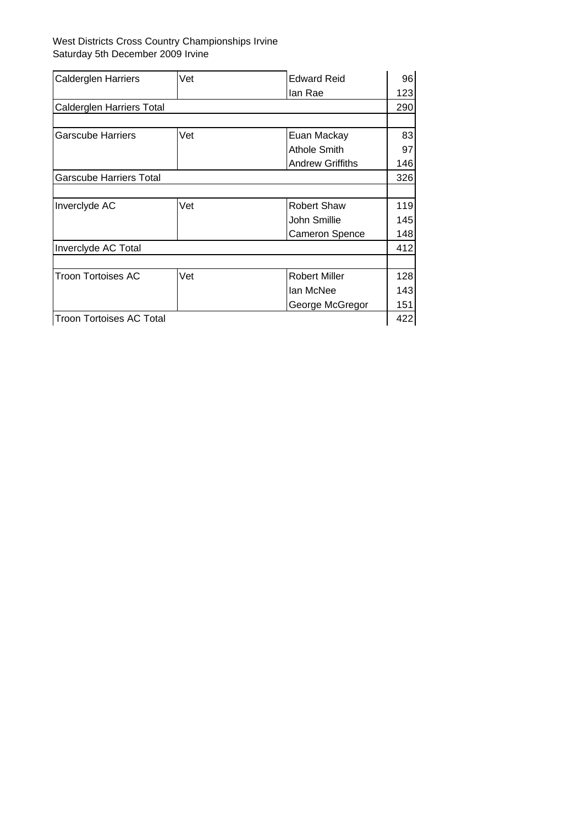| <b>Calderglen Harriers</b>      | Vet | <b>Edward Reid</b>      | 96  |
|---------------------------------|-----|-------------------------|-----|
|                                 |     | lan Rae                 | 123 |
| Calderglen Harriers Total       |     |                         | 290 |
|                                 |     |                         |     |
| Garscube Harriers               | Vet | Euan Mackay             | 83  |
|                                 |     | <b>Athole Smith</b>     | 97  |
|                                 |     | <b>Andrew Griffiths</b> | 146 |
| Garscube Harriers Total         |     |                         | 326 |
|                                 |     |                         |     |
| Inverclyde AC                   | Vet | <b>Robert Shaw</b>      | 119 |
|                                 |     | John Smillie            | 145 |
|                                 |     | <b>Cameron Spence</b>   | 148 |
| Inverclyde AC Total             |     |                         | 412 |
|                                 |     |                         |     |
| Troon Tortoises AC              | Vet | <b>Robert Miller</b>    | 128 |
|                                 |     | lan McNee               | 143 |
|                                 |     | George McGregor         | 151 |
| <b>Troon Tortoises AC Total</b> |     |                         | 422 |